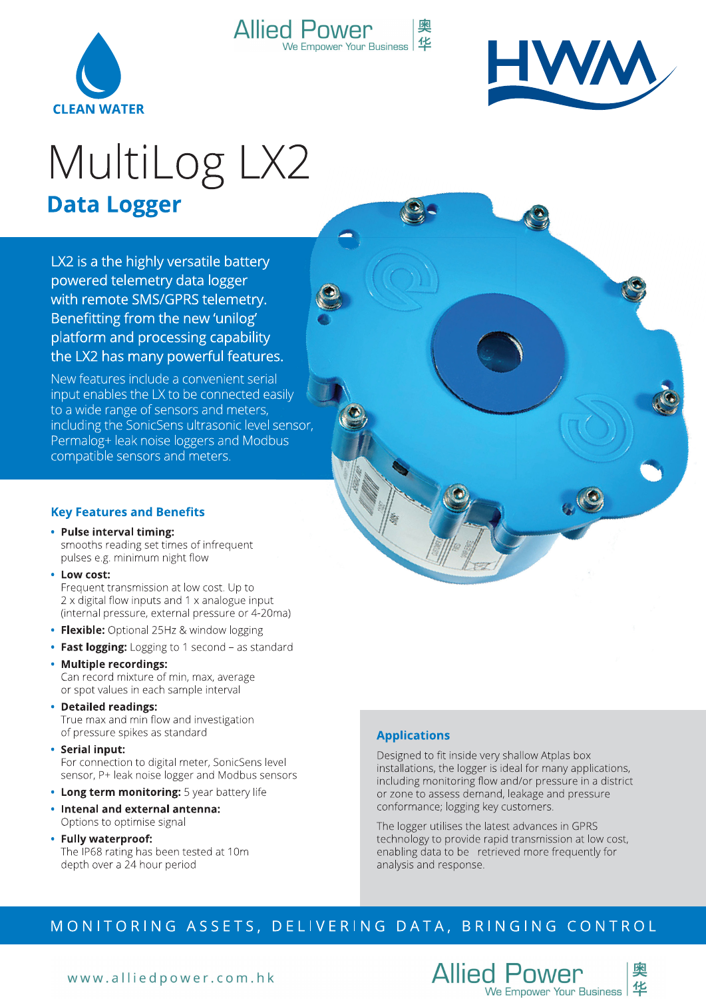



 $\bullet$ 

# MultiLog LX2 **Data Logger**

**Allied Power** 

We Empower Your Business

奥

华

LX2 is a the highly versatile battery powered telemetry data logger with remote SMS/GPRS telemetry. Benefitting from the new 'unilog' platform and processing capability the LX2 has many powerful features.

New features include a convenient serial input enables the LX to be connected easily to a wide range of sensors and meters, including the SonicSens ultrasonic level sensor, Permalog+ leak noise loggers and Modbus compatible sensors and meters.

#### **Key Features and Benefits**

- Pulse interval timing: smooths reading set times of infrequent pulses e.g. minimum night flow
- Low cost:

Frequent transmission at low cost. Up to 2 x digital flow inputs and 1 x analogue input (internal pressure, external pressure or 4-20ma)

- Flexible: Optional 25Hz & window logging
- Fast logging: Logging to 1 second as standard
- Multiple recordings: Can record mixture of min, max, average or spot values in each sample interval
- Detailed readings: True max and min flow and investigation of pressure spikes as standard
- Serial input: For connection to digital meter, SonicSens level sensor, P+ leak noise logger and Modbus sensors
- Long term monitoring: 5 year battery life
- Intenal and external antenna: Options to optimise signal
- Fully waterproof: The IP68 rating has been tested at 10m depth over a 24 hour period

### **Applications**

Designed to fit inside very shallow Atplas box installations, the logger is ideal for many applications, including monitoring flow and/or pressure in a district or zone to assess demand, leakage and pressure conformance; logging key customers.

The logger utilises the latest advances in GPRS technology to provide rapid transmission at low cost, enabling data to be retrieved more frequently for analysis and response.

## MONITORING ASSETS, DELIVERING DATA, BRINGING CONTROL

www.alliedpower.com.hk